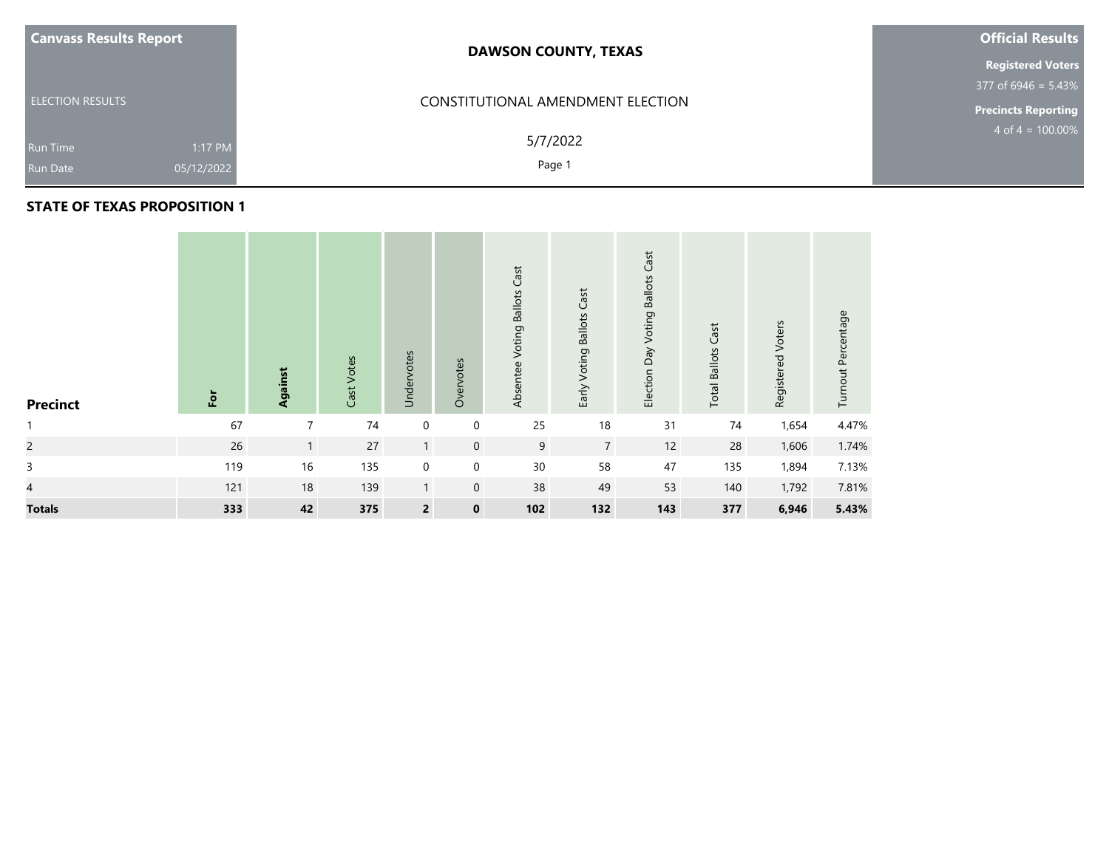| <b>Canvass Results Report</b> |            | <b>DAWSON COUNTY, TEXAS</b>       | <b>Official Results</b>    |  |  |
|-------------------------------|------------|-----------------------------------|----------------------------|--|--|
|                               |            |                                   | <b>Registered Voters</b>   |  |  |
|                               |            |                                   | 377 of 6946 = $5.43\%$     |  |  |
| <b>ELECTION RESULTS</b>       |            | CONSTITUTIONAL AMENDMENT ELECTION | <b>Precincts Reporting</b> |  |  |
| Run Time                      | 1:17 PM    | 5/7/2022                          | $4$ of $4 = 100.00\%$      |  |  |
| <b>Run Date</b>               | 05/12/2022 | Page 1                            |                            |  |  |

## **STATE OF TEXAS PROPOSITION 1**

| <b>Precinct</b> | E   | Against        | Cast Votes | Undervotes     | Overvotes    | Cast<br>Voting Ballots<br>Absentee | Early Voting Ballots Cast | Election Day Voting Ballots Cast | Cast<br><b>Total Ballots</b> | Registered Voters | Turnout Percentage |
|-----------------|-----|----------------|------------|----------------|--------------|------------------------------------|---------------------------|----------------------------------|------------------------------|-------------------|--------------------|
| $\mathbf{1}$    | 67  | $\overline{7}$ | $74$       | $\mathbf 0$    | $\mathbf 0$  | 25                                 | 18                        | 31                               | 74                           | 1,654             | 4.47%              |
| $\overline{c}$  | 26  | $\mathbf{1}$   | 27         | $\mathbf{1}$   | $\mathbf 0$  | 9                                  | $\overline{7}$            | 12                               | 28                           | 1,606             | 1.74%              |
| $\mathsf{3}$    | 119 | 16             | 135        | $\pmb{0}$      | $\mathbf 0$  | 30                                 | 58                        | 47                               | 135                          | 1,894             | 7.13%              |
| $\overline{4}$  | 121 | 18             | 139        | $\mathbf{1}$   | $\mathbf{0}$ | 38                                 | 49                        | 53                               | 140                          | 1,792             | 7.81%              |
| <b>Totals</b>   | 333 | 42             | 375        | $\overline{2}$ | $\mathbf 0$  | 102                                | 132                       | 143                              | 377                          | 6,946             | 5.43%              |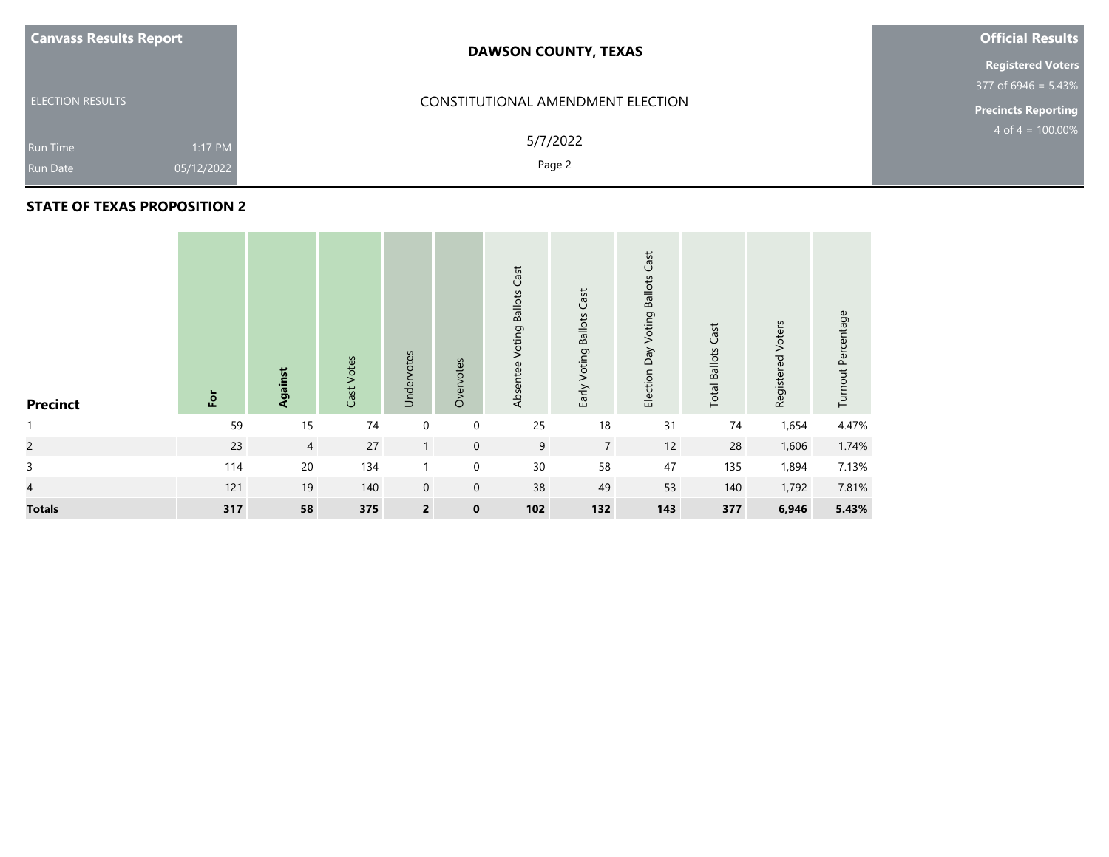| <b>Canvass Results Report</b>                               | <b>DAWSON COUNTY, TEXAS</b>       | <b>Official Results</b>    |
|-------------------------------------------------------------|-----------------------------------|----------------------------|
|                                                             |                                   | <b>Registered Voters</b>   |
|                                                             |                                   | $377$ of 6946 = 5.43%      |
| <b>ELECTION RESULTS</b>                                     | CONSTITUTIONAL AMENDMENT ELECTION | <b>Precincts Reporting</b> |
| 1:17 PM<br><b>Run Time</b><br>05/12/2022<br><b>Run Date</b> | 5/7/2022<br>Page 2                | $4$ of $4 = 100.00\%$      |

## **STATE OF TEXAS PROPOSITION 2**

| <b>Precinct</b> | $\overline{5}$ | Against        | Cast Votes | Undervotes              | Overvotes   | Absentee Voting Ballots Cast | Early Voting Ballots Cast | Cast<br>Election Day Voting Ballots | <b>Total Ballots Cast</b> | Registered Voters | Turnout Percentage |
|-----------------|----------------|----------------|------------|-------------------------|-------------|------------------------------|---------------------------|-------------------------------------|---------------------------|-------------------|--------------------|
| $\mathbf{1}$    | 59             | 15             | $74$       | $\mathbf 0$             | $\mathbf 0$ | 25                           | 18                        | 31                                  | $74$                      | 1,654             | 4.47%              |
| $\overline{c}$  | 23             | $\overline{4}$ | 27         | $\mathbf{1}$            | $\mathbf 0$ | 9                            | $\overline{7}$            | 12                                  | 28                        | 1,606             | 1.74%              |
| $\mathsf{3}$    | 114            | 20             | 134        |                         | $\mathbf 0$ | 30                           | 58                        | 47                                  | 135                       | 1,894             | 7.13%              |
| $\overline{4}$  | 121            | 19             | 140        | $\mathbf 0$             | $\mathbf 0$ | 38                           | 49                        | 53                                  | 140                       | 1,792             | 7.81%              |
| <b>Totals</b>   | 317            | 58             | 375        | $\overline{\mathbf{c}}$ | $\mathbf 0$ | 102                          | 132                       | 143                                 | 377                       | 6,946             | 5.43%              |